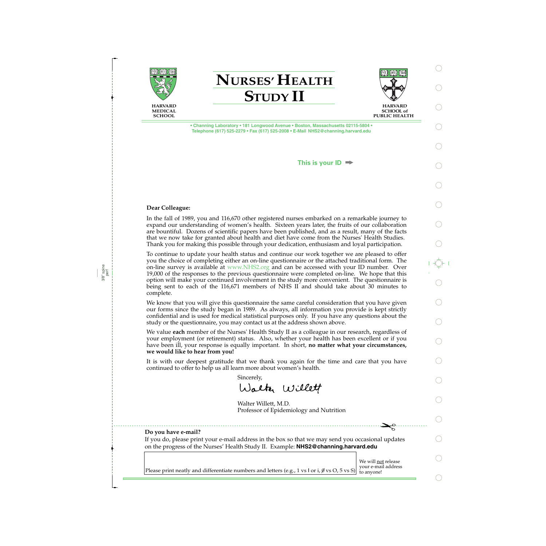





**SCHOOL of PUBLIC HEALTH** 

**• Channing Laboratory • 181 Longwood Avenue • Boston, Massachusetts 02115-5804 • Telephone (617) 525-2279 • Fax (617) 525-2008 • E-Mail NHS2@channing.harvard.edu**

**This is your ID**

## **Dear Colleague:**

3/8" spine perf In the fall of 1989, you and 116,670 other registered nurses embarked on a remarkable journey to expand our understanding of women's health. Sixteen years later, the fruits of our collaboration are bountiful. Dozens of scientific papers have been published, and as a result, many of the facts that we now take for granted about health and diet have come from the Nurses' Health Studies. Thank you for making this possible through your dedication, enthusiasm and loyal participation.

To continue to update your health status and continue our work together we are pleased to offer you the choice of completing either an on-line questionnaire or the attached traditional form. The on-line survey is available at www.NHS2.org and can be accessed with your ID number. Over 19,000 of the responses to the previous questionnaire were completed on-line. We hope that this option will make your continued involvement in the study more convenient. The questionnaire is being sent to each of the 116,671 members of NHS II and should take about 30 minutes to complete.

We know that you will give this questionnaire the same careful consideration that you have given our forms since the study began in 1989. As always, all information you provide is kept strictly confidential and is used for medical statistical purposes only. If you have any questions about the study or the questionnaire, you may contact us at the address shown above.

We value **each** member of the Nurses' Health Study II as a colleague in our research, regardless of your employment (or retirement) status. Also, whether your health has been excellent or if you have been ill, your response is equally important. In short, **no matter what your circumstances, we would like to hear from you!**

It is with our deepest gratitude that we thank you again for the time and care that you have continued to offer to help us all learn more about women's health.

Sincerely,

Walter Willett

Walter Willett, M.D. Professor of Epidemiology and Nutrition

### **Do you have e-mail?**

If you do, please print your e-mail address in the box so that we may send you occasional updates on the progress of the Nurses' Health Study II. Example: **NHS2@channing.harvard.edu**

We will not release

✁ $\mathbf{R}^{\infty}_{\infty}$ 

Please print neatly and differentiate numbers and letters (e.g., 1 vs l or i,  $\emptyset$  vs O, 5 vs S) to anyone!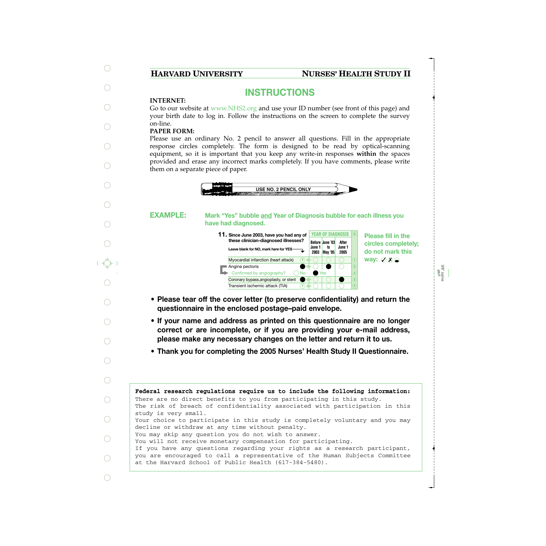# **HARVARD UNIVERSITY NURSES' HEALTH STUDY II**

# **INSTRUCTIONS**

## **INTERNET:**

Go to our website at www.NHS2.org and use your ID number (see front of this page) and your birth date to log in. Follow the instructions on the screen to complete the survey on-line.

## **PAPER FORM:**

Please use an ordinary No. 2 pencil to answer all questions. Fill in the appropriate response circles completely. The form is designed to be read by optical-scanning equipment, so it is important that you keep any write-in responses **within** the spaces provided and erase any incorrect marks completely. If you have comments, please write them on a separate piece of paper.



#### **Mark "Yes" bubble and Year of Diagnosis bubble for each illness you have had diagnosed. EXAMPLE:**

**Before June '03 June 1 2003 May '05 to After June 1 2005 11. <sup>X</sup> Since June 2003, have you had any of these clinician-diagnosed illnesses? Leave blank for NO, mark here for YES** YEAR OF DIAGNOSIS **X** Myocardial infarction (heart attack) ■ Angina pectoris Confirmed by angiography? Coronary bypass,angioplasty, or stent Transient ischemic attack (TIA) No Yes **Y Y**

**Please fill in the circles completely; do not mark this way:** ⊘ **<sub>***X***</sub>** 

> 3/8" spine perf

- **Please tear off the cover letter (to preserve confidentiality) and return the questionnaire in the enclosed postage–paid envelope.**
- **If your name and address as printed on this questionnaire are no longer correct or are incomplete, or if you are providing your e-mail address, please make any necessary changes on the letter and return it to us.**
- **Thank you for completing the 2005 Nurses' Health Study II Questionnaire.**

**Federal research regulations require us to include the following information:** The risk of breach of confidentiality associated with participation in this study is very small. Your choice to participate in this study is completely voluntary and you may decline or withdraw at any time without penalty. You may skip any question you do not wish to answer. You will not receive monetary compensation for participating. If you have any questions regarding your rights as a research participant, you are encouraged to call a representative of the Human Subjects Committee at the Harvard School of Public Health (617-384-5480). There are no direct benefits to you from participating in this study.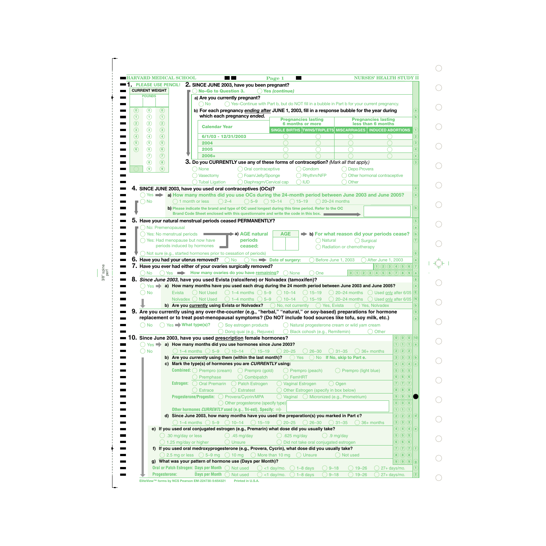|                |                                        |                   |                                                                            | 2. SINCE JUNE 2003, have you been pregnant? |                      |                                     |                           |                                                                                |                                                                                                                    |                         |                                 |                    |                                                         |                  |              |
|----------------|----------------------------------------|-------------------|----------------------------------------------------------------------------|---------------------------------------------|----------------------|-------------------------------------|---------------------------|--------------------------------------------------------------------------------|--------------------------------------------------------------------------------------------------------------------|-------------------------|---------------------------------|--------------------|---------------------------------------------------------|------------------|--------------|
|                | <b>CURRENT WEIGHT</b><br><b>POUNDS</b> |                   |                                                                            | <b>No-Go to Question 3.</b>                 |                      |                                     |                           | <b>Yes (continue)</b>                                                          |                                                                                                                    |                         |                                 |                    |                                                         |                  |              |
|                |                                        |                   |                                                                            | a) Are you currently pregnant?              |                      |                                     |                           |                                                                                |                                                                                                                    |                         |                                 |                    |                                                         |                  |              |
|                |                                        |                   |                                                                            | <b>No</b>                                   |                      |                                     |                           |                                                                                | ◯ Yes-Continue with Part b, but do NOT fill in a bubble in Part b for your current pregnancy.                      |                         |                                 |                    |                                                         |                  |              |
| $\circledcirc$ | $\odot$                                | $\circledcirc$    |                                                                            |                                             |                      |                                     |                           |                                                                                | b) For each pregnancy ending after JUNE 1, 2003, fill in a response bubble for the year during                     |                         |                                 |                    |                                                         |                  |              |
| $\odot$        | $\odot$                                | $\odot$           |                                                                            |                                             |                      | which each pregnancy ended.         |                           |                                                                                | <b>Pregnancies lasting</b>                                                                                         |                         |                                 |                    | <b>Pregnancies lasting</b>                              |                  |              |
| $\circled{2}$  | $\circled{2}$                          | $\circled{2}$     |                                                                            |                                             |                      |                                     |                           |                                                                                | <b>6 months or more</b>                                                                                            |                         |                                 |                    | less than 6 months                                      |                  |              |
| $\circled{3}$  | $\circled{3}$                          | $\circled{3}$     |                                                                            |                                             | <b>Calendar Year</b> |                                     |                           |                                                                                | SINGLE BIRTHS TWINS/TRIPLETS MISCARRIAGES   INDUCED ABORTIONS                                                      |                         |                                 |                    |                                                         |                  |              |
| $\circled{4}$  | $\circled{4}$                          | $\circled{4}$     |                                                                            |                                             | 6/1/03 - 12/31/2003  |                                     |                           |                                                                                |                                                                                                                    |                         |                                 |                    |                                                         |                  |              |
| $\circled{5}$  | $\circledS$                            | $\circled{5}$     |                                                                            | 2004                                        |                      |                                     |                           |                                                                                |                                                                                                                    |                         |                                 |                    |                                                         |                  |              |
| $\circledast$  | $\circledast$                          | $\circled{6}$     |                                                                            | 2005                                        |                      |                                     |                           |                                                                                |                                                                                                                    |                         |                                 |                    |                                                         |                  |              |
|                | $\left( 7\right)$                      | $\circledR$       |                                                                            | 2006+                                       |                      |                                     |                           |                                                                                |                                                                                                                    |                         |                                 |                    |                                                         |                  |              |
|                | $\circledast$                          | $\circled{8}$     |                                                                            |                                             |                      |                                     |                           |                                                                                | 3. Do you CURRENTLY use any of these forms of contraception? (Mark all that apply.)                                |                         |                                 |                    |                                                         |                  |              |
|                | (၅)                                    | $\circ$           |                                                                            |                                             |                      |                                     |                           |                                                                                |                                                                                                                    |                         |                                 |                    |                                                         |                  |              |
|                |                                        |                   |                                                                            | <b>None</b>                                 |                      |                                     | () Oral contraceptive     |                                                                                | ◯ Condom                                                                                                           |                         |                                 | Depo Provera       |                                                         |                  |              |
|                |                                        |                   |                                                                            | Vasectomy                                   |                      |                                     | Foam/Jelly/Sponge         |                                                                                | ◯ Rhythm/NFP                                                                                                       |                         |                                 |                    | Other hormonal contraceptive                            |                  |              |
|                |                                        |                   |                                                                            | Tubal Ligation                              |                      |                                     |                           | Diaphragm/Cervical cap                                                         | $\bigcap$ IUD                                                                                                      |                         | Other                           |                    |                                                         |                  |              |
|                |                                        |                   | 4. SINCE JUNE 2003, have you used oral contraceptives (OCs)?               |                                             |                      |                                     |                           |                                                                                |                                                                                                                    |                         |                                 |                    |                                                         |                  |              |
|                | $Yes$ $\rightarrow$                    |                   |                                                                            |                                             |                      |                                     |                           |                                                                                | a) How many months did you use OCs during the 24-month period between June 2003 and June 2005?                     |                         |                                 |                    |                                                         |                  |              |
|                | <b>No</b>                              |                   |                                                                            | 1 month or less                             | $() 2 - 4$           | $() 5 - 9$                          |                           | $\bigcirc$ 10–14                                                               | $\bigcirc$ 15–19                                                                                                   | $\bigcirc$ 20–24 months |                                 |                    |                                                         |                  |              |
|                |                                        |                   |                                                                            |                                             |                      |                                     |                           |                                                                                | b) Please indicate the brand and type of OC used longest during this time period. Refer to the OC                  |                         |                                 |                    |                                                         |                  |              |
|                |                                        |                   |                                                                            |                                             |                      |                                     |                           |                                                                                | Brand Code Sheet enclosed with this questionnaire and write the code in this box.                                  |                         |                                 |                    |                                                         |                  |              |
| 5.             |                                        |                   | Have your natural menstrual periods ceased PERMANENTLY?                    |                                             |                      |                                     |                           |                                                                                |                                                                                                                    |                         |                                 |                    |                                                         |                  |              |
|                |                                        | No: Premenopausal |                                                                            |                                             |                      |                                     |                           |                                                                                |                                                                                                                    |                         |                                 |                    |                                                         |                  |              |
|                |                                        |                   | Yes: No menstrual periods                                                  |                                             |                      | ▶a) AGE natural                     |                           | AGE                                                                            |                                                                                                                    |                         |                                 |                    | b) For what reason did your periods cease?              |                  |              |
|                |                                        |                   | Yes: Had menopause but now have                                            |                                             |                      | periods                             |                           |                                                                                |                                                                                                                    | <b>Natural</b>          |                                 | $\bigcap$ Surgical |                                                         |                  |              |
|                |                                        |                   | periods induced by hormones                                                |                                             |                      | ceased:                             |                           |                                                                                |                                                                                                                    |                         | Radiation or chemotherapy       |                    |                                                         |                  |              |
|                |                                        |                   | $\bigcirc$ Not sure (e.g., started hormones prior to cessation of periods) |                                             |                      |                                     |                           |                                                                                |                                                                                                                    |                         |                                 |                    |                                                         |                  |              |
|                |                                        |                   |                                                                            | Have you had your uterus removed?           | $\bigcap$ No         |                                     |                           | $\bigcap$ Yes $\blacksquare$ Date of surgery:                                  |                                                                                                                    | Before June 1, 2003     |                                 |                    | After June 1, 2003                                      |                  |              |
|                |                                        |                   |                                                                            |                                             |                      |                                     |                           |                                                                                |                                                                                                                    |                         |                                 |                    |                                                         |                  |              |
|                |                                        |                   |                                                                            |                                             |                      |                                     |                           |                                                                                |                                                                                                                    |                         |                                 |                    |                                                         |                  |              |
|                |                                        |                   | Have you ever had either of your ovaries surgically removed?               |                                             |                      |                                     |                           |                                                                                |                                                                                                                    |                         |                                 |                    | 1) (2) (3) (4) (5) (6)                                  |                  |              |
|                | ) No                                   |                   | $\bigcap$ Yes $\longrightarrow$ How many ovaries do you have remaining?    |                                             |                      |                                     |                           | ( ) None                                                                       | One                                                                                                                |                         |                                 |                    | (0)(1)(2)(3)(4)(5)(6)(7)(8)(9)                          |                  |              |
|                |                                        |                   |                                                                            |                                             |                      |                                     |                           | 8. Since June 2003, have you used Evista (raloxifene) or Nolvadex (tamoxifen)? |                                                                                                                    |                         |                                 |                    |                                                         |                  |              |
|                | $Yes \implies$                         |                   |                                                                            |                                             |                      |                                     |                           |                                                                                | a) How many months have you used each drug during the 24 month period between June 2003 and June 2005?             |                         |                                 |                    |                                                         |                  |              |
|                | <b>No</b>                              |                   | Evista                                                                     | () Not Used                                 |                      | $() 1-4$ months $() 5-9$            |                           | $() 10-14$                                                                     | $() 15 - 19$                                                                                                       |                         |                                 |                    | $\bigcirc$ 20–24 months $\bigcirc$ Used only after 6/05 |                  | Ε            |
|                |                                        |                   | Nolvadex () Not Used                                                       |                                             |                      | $() 1-4$ months $() 5-9$            |                           | $() 10-14$                                                                     | $15 - 19$                                                                                                          |                         | 20-24 months                    |                    | $\bigcirc$ Used only after 6/05                         |                  | $\mathsf{N}$ |
|                |                                        |                   |                                                                            |                                             |                      |                                     |                           |                                                                                | <b>b)</b> Are you <b>currently using Evista or Nolvadex?</b> O No, not currently O Yes, Evista                     |                         |                                 | () Yes, Nolvadex   |                                                         |                  |              |
|                |                                        |                   |                                                                            |                                             |                      |                                     |                           |                                                                                | 9. Are you currently using any over-the-counter (e.g., "herbal," "natural," or soy-based) preparations for hormone |                         |                                 |                    |                                                         |                  |              |
|                |                                        |                   |                                                                            |                                             |                      |                                     |                           |                                                                                | replacement or to treat post-menopausal symptoms? (Do NOT include food sources like tofu, soy milk, etc.)          |                         |                                 |                    |                                                         |                  |              |
|                | No                                     |                   | $\bigcirc$ Yes $\blacksquare$ What type(s)?                                |                                             |                      | $\bigcirc$ Soy estrogen products    |                           |                                                                                | ◯ Natural progesterone cream or wild yam cream                                                                     |                         |                                 |                    |                                                         |                  |              |
|                |                                        |                   |                                                                            |                                             |                      | Dong quai (e.g., Rejuvex)           |                           |                                                                                | Black cohosh (e.g., Remifemin)                                                                                     |                         |                                 |                    | Other                                                   |                  |              |
|                |                                        |                   |                                                                            |                                             |                      |                                     |                           |                                                                                |                                                                                                                    |                         |                                 |                    |                                                         |                  |              |
|                |                                        |                   | Since June 2003, have you used prescription female hormones?               |                                             |                      |                                     |                           |                                                                                |                                                                                                                    |                         |                                 |                    |                                                         |                  |              |
|                | $Yes \implies$                         |                   |                                                                            |                                             |                      |                                     |                           | a) How many months did you use hormones since June 2003?                       |                                                                                                                    |                         |                                 |                    |                                                         | (1)(1)(1)        | a            |
|                | <b>No</b>                              |                   |                                                                            | 1–4 months $\bigcirc$ 5–9 $\bigcirc$ 10–14  |                      |                                     | $() 15-19$                | $20 - 25$                                                                      | $26 - 30$                                                                                                          |                         | $()$ 31–35                      | $( ) 36+$ months   |                                                         | 2) (2) (2)       |              |
|                |                                        |                   | b) Are you currently using them (within the last month)?                   |                                             |                      |                                     |                           |                                                                                | $()$ Yes                                                                                                           |                         | No If No, skip to Part e.       |                    |                                                         | 3)(3)(3)         | $\mathbf{b}$ |
|                |                                        |                   | c) Mark the type(s) of hormones you are CURRENTLY using:                   |                                             |                      |                                     |                           |                                                                                |                                                                                                                    |                         |                                 |                    |                                                         | 4)(4)(4)         | $\epsilon$   |
|                |                                        |                   | <b>Combined:</b> $\bigcirc$ Prempro (cream)                                |                                             |                      |                                     | $\bigcirc$ Prempro (gold) |                                                                                | ◯ Prempro (peach)                                                                                                  |                         | $\bigcirc$ Prempro (light blue) |                    |                                                         | 5)(5)(5)         |              |
|                |                                        |                   |                                                                            | Premphase                                   |                      |                                     | $\bigcirc$ Combipatch     |                                                                                | FemHRT                                                                                                             |                         |                                 |                    |                                                         | 6)(6)(6)         |              |
|                |                                        |                   | Estrogen: ( )                                                              | <b>Oral Premarin</b>                        |                      | $\bigcirc$ Patch Estrogen           |                           |                                                                                | ◯ Vaginal Estrogen                                                                                                 | $\bigcirc$ Ogen         |                                 |                    |                                                         | (7)(7)(7)        |              |
|                |                                        |                   |                                                                            | <b>Estrace</b>                              |                      | <b>Estratest</b>                    |                           |                                                                                | Other Estrogen (specify in box below)                                                                              |                         |                                 |                    |                                                         | $8)$ $(8)$ $(8)$ |              |
|                |                                        |                   | Progesterone/Progestin: O Provera/Cycrin/MPA                               |                                             |                      |                                     |                           | () Vaginal                                                                     |                                                                                                                    |                         | O Micronized (e.g., Prometrium) |                    |                                                         | 9) (9) (9)       |              |
|                |                                        |                   |                                                                            |                                             |                      | O Other progesterone (specify type) |                           |                                                                                |                                                                                                                    |                         |                                 |                    |                                                         | (0)(0)(0)        |              |
|                |                                        |                   | Other hormones CURRENTLY used (e.g., Tri-est), Specify:                    |                                             |                      |                                     |                           |                                                                                |                                                                                                                    |                         |                                 |                    |                                                         | (1)(1)(1)        |              |
|                |                                        |                   |                                                                            |                                             |                      |                                     |                           |                                                                                |                                                                                                                    |                         |                                 |                    |                                                         |                  | $\mathbf{d}$ |
|                |                                        |                   |                                                                            |                                             |                      |                                     |                           |                                                                                | d) Since June 2003, how many months have you used the preparation(s) you marked in Part c?                         |                         |                                 |                    |                                                         | 2)(2)(2)         |              |
|                |                                        |                   |                                                                            | $\bigcirc$ 1–4 months $\bigcirc$ 5–9        |                      | $\bigcirc$ 10–14                    | $\bigcirc$ 15-19          | $20 - 25$                                                                      | $\bigcirc$ 26–30                                                                                                   |                         | $() 31 - 35$                    | 36+ months         |                                                         | $3)$ $(3)$ $(3)$ |              |
|                |                                        |                   |                                                                            |                                             |                      |                                     |                           |                                                                                | e) If you used oral conjugated estrogen (e.g., Premarin) what dose did you usually take?                           |                         |                                 |                    |                                                         | 4)(4)(4)         | $\epsilon$   |
|                |                                        |                   | $\bigcirc$ .30 mg/day or less                                              |                                             |                      | .45 mg/day                          |                           | $\bigcirc$ .625 mg/day                                                         |                                                                                                                    | (                       | .9 mg/day                       |                    |                                                         | 5)(5)(5)         |              |
|                |                                        |                   | $\bigcirc$ 1.25 mg/day or higher                                           |                                             |                      | Unsure                              |                           |                                                                                | Did not take oral conjugated estrogen                                                                              |                         |                                 |                    |                                                         | (6)(6)(6)        |              |
| O.             |                                        |                   |                                                                            |                                             |                      |                                     |                           |                                                                                | f) If you used oral medroxyprogesterone (e.g., Provera, Cycrin), what dose did you usually take?                   |                         |                                 |                    |                                                         | (7)(7)(7)        |              |
|                |                                        |                   | $\bigcirc$ 2.5 mg or less $\bigcirc$ 5–9 mg                                |                                             |                      | $\bigcirc$ 10 mg                    |                           | $\bigcirc$ More than 10 mg                                                     | $\bigcirc$ Unsure                                                                                                  |                         | Not used                        |                    |                                                         | 8)(8)(8)         |              |
|                |                                        |                   | g) What was your pattern of hormone use (Days per Month)?                  |                                             |                      |                                     |                           |                                                                                |                                                                                                                    |                         |                                 |                    |                                                         | 9) 9) 9          |              |

 $\bigcirc$ 

 $\bigcirc$ 

 $\bigcirc$ 

 $\bigcirc$ 

 $\bigcirc$ 

 $\bigcirc$ 

 $\bigcirc$ 

 $\bigcirc$ 

 $\bigcirc$ 

 $\bigcirc$ 

Ç⊦

 $\bigcirc$ 

 $\bigcirc$ 

 $\bigcirc$ 

 $\bigcirc$ 

 $\bigcirc$ 

 $\bigcirc$ 

 $\bigcirc$ 

 $\bigcirc$ 

 $\bigcirc$ 

 $\bigcirc$ 

 $\bigcirc$ 

**EliteView™ forms by NCS Pearson EM-224730-5:654321 Printed in U.S.A.**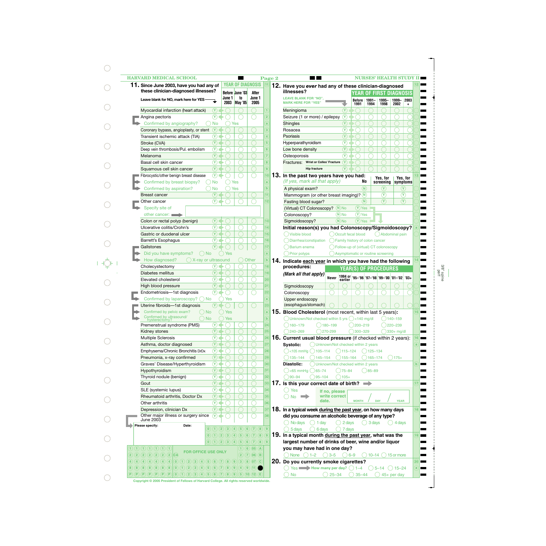| 11. Since June 2003, have you had any of<br>these clinician-diagnosed illnesses?<br>$\circled{r}$<br>$\circled{r}$<br>No<br>$\circ$ | June 1<br>2003   | <b>YEAR OF DIAGNOSIS</b><br><b>Before June '03</b>           | After                                                        |                                                                                                                | 12. Have you ever had any of these clinician-diagnosed<br>illnesses?                                       |
|-------------------------------------------------------------------------------------------------------------------------------------|------------------|--------------------------------------------------------------|--------------------------------------------------------------|----------------------------------------------------------------------------------------------------------------|------------------------------------------------------------------------------------------------------------|
|                                                                                                                                     |                  |                                                              |                                                              |                                                                                                                |                                                                                                            |
|                                                                                                                                     |                  |                                                              |                                                              |                                                                                                                | <b>YEAR OF FIRST DIAGNOSIS</b>                                                                             |
|                                                                                                                                     |                  | to<br><b>May '05</b>                                         | June 1<br>2005                                               |                                                                                                                | <b>LEAVE BLANK FOR "NO",</b><br>$1995 -$<br>1991-<br>1999-<br>2003<br>Before<br><b>MARK HERE FOR "YES"</b> |
|                                                                                                                                     |                  |                                                              |                                                              |                                                                                                                | 2002<br>1991<br>1994<br>1998<br>$\ddot{}$                                                                  |
|                                                                                                                                     |                  |                                                              |                                                              |                                                                                                                | $\left( \widehat{Y}\right)$<br>Meningioma                                                                  |
|                                                                                                                                     |                  |                                                              |                                                              | $\overline{2}$                                                                                                 | Seizure (1 or more) / epilepsy<br>$\circledcirc$                                                           |
|                                                                                                                                     |                  | Yes                                                          |                                                              | $\mathbf{a}$                                                                                                   | <b>Shingles</b><br>$(\Upsilon)$                                                                            |
|                                                                                                                                     |                  |                                                              |                                                              | $\overline{3}$                                                                                                 | $\circledR$<br>Rosacea                                                                                     |
| $\circledR$                                                                                                                         |                  |                                                              |                                                              | $\overline{4}$                                                                                                 | $\circledR$<br><b>Psoriasis</b>                                                                            |
| $\circledcirc$                                                                                                                      |                  |                                                              |                                                              | 5 <sup>2</sup>                                                                                                 | $\left( \widehat{\mathbf{Y}}\right)$<br>Hyperparathyroidism                                                |
| $\circledR$                                                                                                                         |                  |                                                              |                                                              | 6                                                                                                              | $\left( \widehat{\mathbf{Y}}\right)$<br>Low bone density                                                   |
| $\circled{r}$                                                                                                                       |                  |                                                              |                                                              | $\overline{7}$                                                                                                 | $\left( \widehat{\mathbf{Y}}\right)$<br>Osteoporosis                                                       |
| $\circledR$                                                                                                                         |                  |                                                              |                                                              | $\bf{8}$                                                                                                       | $\sqrt{\mathsf{Y}}$<br>Fractures: Wrist or Colles' Fracture                                                |
| $\circled{r}$                                                                                                                       |                  |                                                              |                                                              | $\overline{9}$                                                                                                 | (Y<br><b>Hip fracture</b>                                                                                  |
| $\circled{r}$                                                                                                                       |                  |                                                              |                                                              | 10                                                                                                             | 13. In the past two years have you had:                                                                    |
| <b>No</b>                                                                                                                           |                  | Yes                                                          |                                                              | a                                                                                                              | Yes. for<br>Yes, for<br>(If yes, mark all that apply)<br>No<br>screening<br>symptoms                       |
| <b>No</b>                                                                                                                           |                  | Yes                                                          |                                                              | $\mathbf{b}$                                                                                                   | (N)<br>$\left( \mathrm{Y}\right)$<br>(Y)<br>A physical exam?                                               |
| $(\Upsilon)$                                                                                                                        |                  |                                                              |                                                              | 11                                                                                                             | $\circledcirc$<br>$\left( \widehat{\mathbf{Y}}\right)$<br>Mammogram (or other breast imaging)? $(N)$       |
| $(\lambda)$                                                                                                                         |                  |                                                              |                                                              | 12                                                                                                             | $\mathcal{F}$<br>$\circled{r}$<br>$(\mathsf{N})$<br>Fasting blood sugar?                                   |
|                                                                                                                                     |                  |                                                              |                                                              |                                                                                                                | $(Y)$ Yes<br>$(N)$ No<br>(Virtual) CT Colonoscopy?                                                         |
|                                                                                                                                     |                  |                                                              |                                                              |                                                                                                                | $(Y)$ Yes<br>Colonoscopy?<br>$(N)$ No                                                                      |
| $\circled{r}$                                                                                                                       |                  |                                                              |                                                              | 13                                                                                                             | $(Y)$ Yes<br>$(N)$ No                                                                                      |
| $\left( \widehat{\mathsf{Y}}\right)$                                                                                                |                  |                                                              |                                                              | 14)                                                                                                            | Sigmoidoscopy?                                                                                             |
|                                                                                                                                     |                  |                                                              |                                                              |                                                                                                                | Initial reason(s) you had Colonoscopy/Sigmoidoscopy?                                                       |
| $(\Upsilon)$                                                                                                                        |                  |                                                              |                                                              | 15)                                                                                                            | Visible blood<br>Occult fecal blood<br>() Abdominal pain                                                   |
| $(\lambda)$                                                                                                                         |                  |                                                              |                                                              | 16                                                                                                             | Diarrhea/constipation<br>Family history of colon cancer                                                    |
| $(\mathsf{Y})$                                                                                                                      |                  |                                                              |                                                              | 17                                                                                                             | <b>Barium</b> enema<br>Follow-up of (virtual) CT colonoscopy                                               |
| ()No                                                                                                                                | Yes              |                                                              |                                                              | a                                                                                                              | Prior polyps<br>Asymptomatic or routine screening                                                          |
| $\bigcirc$ X-ray or ultrasound                                                                                                      |                  |                                                              | Other                                                        | $\mathbf b$                                                                                                    | 14. Indicate each year in which you have had the following                                                 |
| $(\mathsf{Y})$                                                                                                                      |                  |                                                              |                                                              | 18                                                                                                             | procedures:<br><b>YEAR(S) OF PROCEDURES</b>                                                                |
| $(\Upsilon)$                                                                                                                        |                  |                                                              |                                                              | 19)                                                                                                            | (Mark all that apply)                                                                                      |
| $\circled{r}$                                                                                                                       |                  |                                                              |                                                              | 20                                                                                                             | 1994 or 35-396 37-398 39-300 31-302 303+<br>Never                                                          |
| $(\Upsilon)$                                                                                                                        |                  |                                                              |                                                              | 21                                                                                                             | Sigmoidoscopy                                                                                              |
| $\circledR$                                                                                                                         |                  |                                                              |                                                              | 22                                                                                                             | Colonoscopy                                                                                                |
| No.                                                                                                                                 | Yes              |                                                              |                                                              | $\mathbf{a}$                                                                                                   | Upper endoscopy                                                                                            |
| $\circled{r}$                                                                                                                       |                  |                                                              |                                                              | 23                                                                                                             | (esophagus/stomach)                                                                                        |
| ( )No                                                                                                                               | Yes              |                                                              |                                                              | a                                                                                                              | 15. Blood Cholesterol (most recent, within last 5 years):                                                  |
| $\bigcap$ No                                                                                                                        | Yes              |                                                              |                                                              | $\mathbf{b}$                                                                                                   | ◯ Unknown/Not checked within 5 yrs ◯ <140 mg/dl<br>$)140 - 159$                                            |
| $\circled{r}$                                                                                                                       |                  |                                                              |                                                              | (24)                                                                                                           | $)160 - 179$<br>$( )180 - 199$<br>200-219<br>220-239                                                       |
| $\circled{r}$                                                                                                                       |                  |                                                              |                                                              | 25)                                                                                                            | $240 - 269$<br>$270 - 299$<br>300-329<br>330+ mg/dl                                                        |
| $\circledcirc$                                                                                                                      |                  |                                                              |                                                              | 26                                                                                                             | 16. Current usual blood pressure (if checked within 2 years):                                              |
| $\circled{r}$                                                                                                                       |                  |                                                              |                                                              | 27                                                                                                             | Unknown/Not checked within 2 years<br>Systolic:                                                            |
| $^{\circ}$                                                                                                                          |                  |                                                              |                                                              | 28)                                                                                                            | $\bigcirc$ <105 mmHg $\bigcirc$ 105-114<br>$( )115 - 124$<br>125-134                                       |
| $\circledcirc$                                                                                                                      |                  |                                                              |                                                              | 29                                                                                                             | 135-144<br>$)145 - 154$<br>$)175+$<br>155-164<br>165-174                                                   |
| $\circledcirc$                                                                                                                      |                  |                                                              |                                                              | 30 <sub>o</sub>                                                                                                | Diastolic:<br>Unknown/Not checked within 2 years                                                           |
| $\circled{r}$                                                                                                                       |                  |                                                              |                                                              | 31                                                                                                             | $35 - 89$                                                                                                  |
|                                                                                                                                     |                  |                                                              |                                                              |                                                                                                                | $\bigcirc$ <65 mmHg $\bigcirc$ 65-74<br>$()75 - 84$                                                        |
| $\circledR$                                                                                                                         |                  |                                                              |                                                              | 32)                                                                                                            | $90 - 94$<br>$)95 - 104$<br>$)105+$                                                                        |
| $\circled{r}$                                                                                                                       |                  |                                                              |                                                              | 33                                                                                                             | 17. Is this your correct date of birth?<br>$\rightarrow$                                                   |
| $\circledR$                                                                                                                         |                  |                                                              |                                                              | $\overline{34}$                                                                                                | ◯ Yes<br>If no, please                                                                                     |
| $\circled{r}$                                                                                                                       |                  |                                                              |                                                              | 35)                                                                                                            | write correct<br><b>No</b><br><b>Contract</b><br>date.<br><b>MONTH</b><br><b>DAY</b><br><b>YEAR</b>        |
| $\circledR$                                                                                                                         |                  |                                                              |                                                              | 36                                                                                                             |                                                                                                            |
| $\circled{r}$                                                                                                                       |                  |                                                              |                                                              | 37                                                                                                             | 18. In a typical week during the past year, on how many days                                               |
| $\Omega$                                                                                                                            |                  |                                                              |                                                              | 38                                                                                                             | did you consume an alcoholic beverage of any type?                                                         |
|                                                                                                                                     |                  |                                                              |                                                              |                                                                                                                | $\bigcirc$ No days<br>$\bigcirc$ 2 days<br>1 day<br>3 days<br>$^{(+)}$<br>4 days                           |
| $\overline{2}$                                                                                                                      | $\left(3\right)$ | $\left( 4\right)$                                            | (5)(6)(7)(8)(9)                                              |                                                                                                                | 5 days<br>6 days<br>7 days                                                                                 |
| $\left( 2\right)$                                                                                                                   | $\left(3\right)$ | $\left( 4\right)$<br>(5)                                     | (6)(7)<br>$\left( \mathbf{8}\right)$                         | $\mathbf{g}$                                                                                                   | 19. In a typical month during the past year, what was the                                                  |
|                                                                                                                                     |                  |                                                              |                                                              |                                                                                                                | largest number of drinks of beer, wine and/or liquor                                                       |
|                                                                                                                                     |                  |                                                              |                                                              |                                                                                                                | you may have had in one day?                                                                               |
|                                                                                                                                     |                  |                                                              |                                                              |                                                                                                                | None<br>$1 - 2$<br>$6 - 9$<br>$10-14$ ( ) 15 or more<br>$3 - 5$                                            |
|                                                                                                                                     |                  |                                                              |                                                              |                                                                                                                | 20. Do you currently smoke cigarettes?                                                                     |
|                                                                                                                                     |                  |                                                              |                                                              |                                                                                                                | Yes $\blacksquare$ How many per day? $\bigcirc$ 1-4<br>$() 5 - 14$<br>$() 15 - 24$                         |
|                                                                                                                                     | (6)              | <b>FOR OFFICE USE ONLY</b><br>$\overline{\mathbf{8}}$<br>(7) | $\overline{2}$<br>9<br>$\left(9\right)$<br>$\left( 4\right)$ | (0)(1)(2)(3)(4)(5)(6)<br>(1)(6)(05)(A)<br>(7)<br>$(06)$ (B)<br>3)(8)<br>$(07)$ (C)<br>$\left(9\right)$<br>(11) | (7)(8)(9)<br>(5)(10)(12)(E)<br>(0)(1)(2)(3)(4)(5)(6)(7)(8)(9)                                              |

**Copyright © 2005 President of Fellows of Harvard College. All rights reserved worldwide.**

 $\bigcirc$ 

 $\bigcirc$ 

 $\bigcirc$ 

 $\bigcirc$ 

 $\bigcirc$ 

 $\bigcirc$ 

 $\bigcirc$ 

 $\bigcirc$ 

 $\bigcirc$ 

 $\bigcirc$ 

 $\begin{picture}(20,5) \put(0,0){\line(1,0){15}} \put(15,0){\line(1,0){15}} \put(15,0){\line(1,0){15}} \put(15,0){\line(1,0){15}} \put(15,0){\line(1,0){15}} \put(15,0){\line(1,0){15}} \put(15,0){\line(1,0){15}} \put(15,0){\line(1,0){15}} \put(15,0){\line(1,0){15}} \put(15,0){\line(1,0){15}} \put(15,0){\line(1,0){15}} \put(15,0){\line(1,$ 

 $\bigcirc$ 

 $\bigcirc$ 

 $\bigcirc$ 

 $\bigcirc$ 

 $\bigcirc$ 

 $\bigcirc$ 

 $\bigcirc$ 

 $\bigcirc$ 

 $\bigcirc$ 

 $\bigcirc$ 

 $\bigcirc$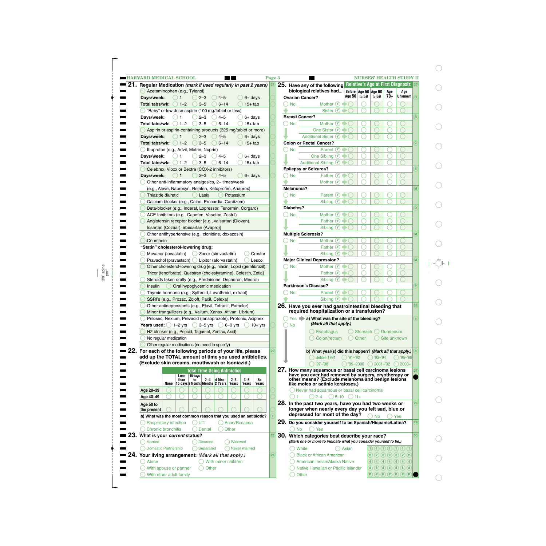| <b>HARVARD MEDICAL SCHOOL</b>                                                  |                                                         |         |                             |                 |                                              |                  |                                                                     |               | Page 3 |           |                                                                                                    |              |                        |                                                                                                                                                                                                                        |     | <b>NURSES' HEALTH STUDY II</b>                                                               |              |
|--------------------------------------------------------------------------------|---------------------------------------------------------|---------|-----------------------------|-----------------|----------------------------------------------|------------------|---------------------------------------------------------------------|---------------|--------|-----------|----------------------------------------------------------------------------------------------------|--------------|------------------------|------------------------------------------------------------------------------------------------------------------------------------------------------------------------------------------------------------------------|-----|----------------------------------------------------------------------------------------------|--------------|
| $21.$ Regular Medication <i>(mark if used regularly in past 2 years)</i> $ 21$ |                                                         |         |                             |                 |                                              |                  |                                                                     |               |        |           | 25. Have any of the following Relative's Age at First Diagnosis 25                                 |              |                        |                                                                                                                                                                                                                        |     |                                                                                              |              |
|                                                                                | Acetaminophen (e.g., Tylenol)                           |         |                             |                 |                                              |                  |                                                                     |               |        |           | biological relatives had                                                                           |              | Before Age 50 Age 60   |                                                                                                                                                                                                                        | Age | Age                                                                                          |              |
| Days/week:                                                                     |                                                         |         |                             | $2 - 3$         | $4 - 5$                                      |                  | $6+$ days                                                           |               |        |           | <b>Ovarian Cancer?</b>                                                                             |              | Age 50 to 59           | to 69                                                                                                                                                                                                                  | 70+ | Unknown                                                                                      | $\circ$      |
| Total tabs/wk:                                                                 |                                                         | $1 - 2$ |                             | $3 - 5$         | $6 - 14$                                     |                  | $15+$ tab                                                           |               |        | <b>No</b> | Mother (Y)                                                                                         |              |                        |                                                                                                                                                                                                                        |     |                                                                                              |              |
|                                                                                | "Baby" or low dose aspirin (100 mg/tablet or less)      |         |                             |                 |                                              |                  |                                                                     |               |        |           | Sister(Y)                                                                                          |              |                        |                                                                                                                                                                                                                        |     |                                                                                              |              |
| Days/week:                                                                     |                                                         |         |                             | $2 - 3$         | $4 - 5$                                      |                  | $6+$ days                                                           |               |        |           | <b>Breast Cancer?</b>                                                                              |              |                        |                                                                                                                                                                                                                        |     |                                                                                              | $\mathbf{B}$ |
| Total tabs/wk:                                                                 |                                                         | $1 - 2$ |                             | $3 - 5$         | $6 - 14$                                     |                  | $15+$ tab                                                           |               |        | <b>No</b> | Mother $(Y)$                                                                                       |              |                        |                                                                                                                                                                                                                        |     |                                                                                              |              |
| $\bigcirc$ Aspirin or aspirin-containing products (325 mg/tablet or more)      |                                                         |         |                             |                 |                                              |                  |                                                                     |               |        |           | One Sister $(Y)$                                                                                   |              |                        |                                                                                                                                                                                                                        |     |                                                                                              |              |
|                                                                                |                                                         |         |                             |                 |                                              |                  |                                                                     |               |        |           |                                                                                                    |              |                        |                                                                                                                                                                                                                        |     |                                                                                              |              |
| Days/week:                                                                     |                                                         |         | $2 - 3$                     |                 | $4 - 5$                                      |                  | $6+$ days                                                           |               |        |           | Additional Sister (Y)                                                                              |              |                        |                                                                                                                                                                                                                        |     |                                                                                              |              |
| Total tabs/wk:                                                                 |                                                         | $1 - 2$ |                             | $3 - 5$         | $6 - 14$                                     |                  | $15+$ tab                                                           |               |        |           | <b>Colon or Rectal Cancer?</b>                                                                     |              |                        |                                                                                                                                                                                                                        |     |                                                                                              | C.           |
|                                                                                | Ibuprofen (e.g., Advil, Motrin, Nuprin)                 |         |                             |                 |                                              |                  |                                                                     |               |        | <b>No</b> | Parent $(Y)$                                                                                       |              |                        |                                                                                                                                                                                                                        |     |                                                                                              |              |
| Days/week:                                                                     |                                                         |         | $2 - 3$                     |                 | $4 - 5$                                      |                  | $6+$ days                                                           |               |        |           | One Sibling $\circled{v}$                                                                          |              |                        |                                                                                                                                                                                                                        |     |                                                                                              |              |
| Total tabs/wk:                                                                 |                                                         | $1 - 2$ |                             | $3 - 5$         | $6 - 14$                                     |                  | $15+$ tab                                                           |               |        |           | Additional Sibling V                                                                               |              |                        |                                                                                                                                                                                                                        |     |                                                                                              |              |
|                                                                                | Celebrex, Vioxx or Bextra (COX-2 inhibitors)            |         |                             |                 |                                              |                  |                                                                     |               |        |           | <b>Epilepsy or Seizures?</b>                                                                       |              |                        |                                                                                                                                                                                                                        |     |                                                                                              | E            |
| Days/week:                                                                     |                                                         | ()1     |                             | $2 - 3$         | $() 4-5$                                     |                  | $6+$ days                                                           |               |        | <b>No</b> | Father $(Y)$                                                                                       |              |                        |                                                                                                                                                                                                                        |     |                                                                                              |              |
|                                                                                | Other anti-inflammatory analgesics, 2+ times/week       |         |                             |                 |                                              |                  |                                                                     |               |        |           | Mother $(Y)$                                                                                       |              |                        |                                                                                                                                                                                                                        |     |                                                                                              |              |
|                                                                                | (e.g., Aleve, Naprosyn, Relafen, Ketoprofen, Anaprox)   |         |                             |                 |                                              |                  |                                                                     |               |        | Melanoma? |                                                                                                    |              |                        |                                                                                                                                                                                                                        |     |                                                                                              | <b>M</b>     |
|                                                                                | Thiazide diuretic                                       |         |                             | Lasix           |                                              | Potassium        |                                                                     |               |        | <b>No</b> | Parent (Y)                                                                                         |              |                        |                                                                                                                                                                                                                        |     |                                                                                              |              |
|                                                                                | Calcium blocker (e.g., Calan, Procardia, Cardizem)      |         |                             |                 |                                              |                  |                                                                     |               |        |           | Sibling $\circled{v}$                                                                              |              |                        |                                                                                                                                                                                                                        |     |                                                                                              |              |
|                                                                                |                                                         |         |                             |                 |                                              |                  | Beta-blocker (e.g., Inderal, Lopressor, Tenormin, Corgard)          |               |        | Diabetes? |                                                                                                    |              |                        |                                                                                                                                                                                                                        |     |                                                                                              | D            |
|                                                                                | ACE Inhibitors (e.g., Capoten, Vasotec, Zestril)        |         |                             |                 |                                              |                  |                                                                     |               |        | No        | Mother $(Y)$                                                                                       |              |                        |                                                                                                                                                                                                                        |     |                                                                                              |              |
|                                                                                |                                                         |         |                             |                 |                                              |                  |                                                                     |               |        |           | Father $\circled{v}$                                                                               |              |                        |                                                                                                                                                                                                                        |     |                                                                                              |              |
|                                                                                | Angiotensin receptor blocker [e.g., valsartan (Diovan), |         |                             |                 |                                              |                  |                                                                     |               |        |           |                                                                                                    |              |                        |                                                                                                                                                                                                                        |     |                                                                                              |              |
|                                                                                | Iosartan (Cozaar), irbesartan (Avapro)]                 |         |                             |                 |                                              |                  |                                                                     |               |        |           | Sibling $\circled{v}$                                                                              |              |                        |                                                                                                                                                                                                                        |     |                                                                                              |              |
|                                                                                | Other antihypertensive (e.g., clonidine, doxazosin)     |         |                             |                 |                                              |                  |                                                                     |               |        |           | <b>Multiple Sclerosis?</b>                                                                         |              |                        |                                                                                                                                                                                                                        |     |                                                                                              | <b>M</b>     |
| Coumadin                                                                       |                                                         |         |                             |                 |                                              |                  |                                                                     |               |        | <b>No</b> | Mother $(Y)$                                                                                       |              |                        |                                                                                                                                                                                                                        |     |                                                                                              |              |
| "Statin" cholesterol-lowering drug:                                            |                                                         |         |                             |                 |                                              |                  |                                                                     |               |        |           | Father $\circled{r}$                                                                               |              |                        |                                                                                                                                                                                                                        |     |                                                                                              |              |
|                                                                                | Mevacor (Iovastatin)                                    |         |                             |                 | () Zocor (simvastatin)                       |                  |                                                                     | Crestor       |        |           | Sibling $\circled{v}$                                                                              |              |                        |                                                                                                                                                                                                                        |     |                                                                                              |              |
|                                                                                | Pravachol (pravastatin) () Lipitor (atorvastatin)       |         |                             |                 |                                              |                  |                                                                     | Lescol        |        |           | <b>Major Clinical Depression?</b>                                                                  |              |                        |                                                                                                                                                                                                                        |     |                                                                                              | <b>M</b>     |
|                                                                                |                                                         |         |                             |                 |                                              |                  | Other cholesterol-lowering drug [e.g., niacin, Lopid (gemfibrozil), |               |        | <b>No</b> | Mother $(Y)$                                                                                       |              |                        |                                                                                                                                                                                                                        |     |                                                                                              |              |
|                                                                                |                                                         |         |                             |                 |                                              |                  | Tricor (fenofibrate), Questran (cholestyramine), Colestin, Zetia]   |               |        |           | Father $\circled{r}$                                                                               |              |                        |                                                                                                                                                                                                                        |     |                                                                                              |              |
|                                                                                |                                                         |         |                             |                 |                                              |                  | Steroids taken orally (e.g., Prednisone, Decadron, Medrol)          |               |        |           | Sibling $\circled{v}$                                                                              |              |                        |                                                                                                                                                                                                                        |     |                                                                                              |              |
| Insulin                                                                        |                                                         |         |                             |                 | Oral hypoglycemic medication                 |                  |                                                                     |               |        |           | <b>Parkinson's Disease?</b>                                                                        |              |                        |                                                                                                                                                                                                                        |     |                                                                                              | P            |
|                                                                                | Thyroid hormone (e.g., Sythroid, Levothroid, extract)   |         |                             |                 |                                              |                  |                                                                     |               |        | <b>No</b> | Parent $(Y)$                                                                                       |              |                        |                                                                                                                                                                                                                        |     |                                                                                              |              |
|                                                                                | SSRI's (e.g., Prozac, Zoloft, Paxil, Celexa)            |         |                             |                 |                                              |                  |                                                                     |               |        |           | Sibling (Y)                                                                                        |              |                        |                                                                                                                                                                                                                        |     |                                                                                              |              |
|                                                                                | Other antidepressants (e.g., Elavil, Tofranil, Pamelor) |         |                             |                 |                                              |                  |                                                                     |               |        |           |                                                                                                    |              |                        |                                                                                                                                                                                                                        |     |                                                                                              | 26           |
|                                                                                |                                                         |         |                             |                 |                                              |                  |                                                                     |               |        |           | 26. Have you ever had gastrointestinal bleeding that<br>required hospitalization or a transfusion? |              |                        |                                                                                                                                                                                                                        |     |                                                                                              |              |
|                                                                                |                                                         |         |                             |                 |                                              |                  | Minor tranquilizers (e.g., Valium, Xanax, Ativan, Librium)          |               |        |           |                                                                                                    |              |                        |                                                                                                                                                                                                                        |     |                                                                                              |              |
|                                                                                |                                                         |         |                             |                 |                                              |                  | Prilosec, Nexium, Prevacid (Iansoprazole), Protonix, Aciphex        |               |        |           | $Yes \rightarrow a)$ What was the site of the bleeding?<br>(Mark all that apply.)                  |              |                        |                                                                                                                                                                                                                        |     |                                                                                              | a            |
| <b>Years used:</b> $\bigcirc$ 1-2 yrs $\bigcirc$ 3-5 yrs                       |                                                         |         |                             |                 | $(\ )$                                       | $6 - 9$ yrs      |                                                                     | $10+yrs$      |        | <b>No</b> |                                                                                                    |              |                        |                                                                                                                                                                                                                        |     |                                                                                              |              |
|                                                                                | H2 blocker (e.g., Pepcid, Tagamet, Zantac, Axid)        |         |                             |                 |                                              |                  |                                                                     |               |        |           | Esophagus                                                                                          |              | () Stomach () Duodenum |                                                                                                                                                                                                                        |     |                                                                                              |              |
|                                                                                | No regular medication                                   |         |                             |                 |                                              |                  |                                                                     |               |        |           | Colon/rectum                                                                                       | $( \ )$      | Other                  | $($ )                                                                                                                                                                                                                  |     | Site unknown                                                                                 |              |
|                                                                                | Other regular medications (no need to specify)          |         |                             |                 |                                              |                  |                                                                     |               |        |           |                                                                                                    |              |                        |                                                                                                                                                                                                                        |     |                                                                                              |              |
| 22. For each of the following periods of your life, please                     |                                                         |         |                             |                 |                                              |                  |                                                                     |               |        |           | b) What year(s) did this happen? (Mark all that apply.)                                            |              |                        |                                                                                                                                                                                                                        |     |                                                                                              |              |
| add up the TOTAL amount of time you used antibiotics.                          |                                                         |         |                             |                 |                                              |                  |                                                                     |               |        |           | Before 1991                                                                                        | $()$ '91–'92 |                        | $()$ '93–'94                                                                                                                                                                                                           |     | ( )'95-'96                                                                                   |              |
| (Exclude skin creams, mouthwash or Isoniazid.)                                 |                                                         |         |                             |                 |                                              |                  |                                                                     |               |        |           | $97 - 98$                                                                                          |              | $99 - 2000$            | $2001 - 02$                                                                                                                                                                                                            |     | $2003+$                                                                                      |              |
|                                                                                |                                                         |         |                             |                 | <b>Total Time Using Antibiotics</b>          |                  |                                                                     |               |        |           | 27. How many squamous or basal cell carcinoma lesions                                              |              |                        |                                                                                                                                                                                                                        |     |                                                                                              |              |
|                                                                                |                                                         |         | $Less \mid 15 \text{ days}$ |                 |                                              |                  |                                                                     |               |        |           | have you ever had removed by surgery, cryotherapy or                                               |              |                        |                                                                                                                                                                                                                        |     |                                                                                              |              |
|                                                                                | None                                                    | than    | to                          | $2 - 4$         | $ 4$ Mos-<br>15 days 2 Months Months 2 Years | $2 - 3$<br>Years | $3-5$<br>Years                                                      | $5+$<br>Years |        |           | other means? (Exclude melanoma and benign lesions<br>like moles or actinic keratoses.)             |              |                        |                                                                                                                                                                                                                        |     |                                                                                              |              |
| Age 20-39                                                                      |                                                         |         |                             |                 |                                              |                  |                                                                     |               |        |           | Never had squamous or basal cell carcinoma                                                         |              |                        |                                                                                                                                                                                                                        |     |                                                                                              |              |
| Age 40-49                                                                      |                                                         |         |                             |                 |                                              |                  |                                                                     |               |        |           | $2 - 4$<br>$()5 - 10$                                                                              | $()11+$      |                        |                                                                                                                                                                                                                        |     |                                                                                              |              |
|                                                                                |                                                         |         |                             |                 |                                              |                  |                                                                     |               |        |           |                                                                                                    |              |                        |                                                                                                                                                                                                                        |     |                                                                                              |              |
| Age 50 to                                                                      |                                                         |         |                             |                 |                                              |                  |                                                                     |               |        |           | 28. In the past two years, have you had two weeks or                                               |              |                        |                                                                                                                                                                                                                        |     |                                                                                              | 28           |
| the present                                                                    |                                                         |         |                             |                 |                                              |                  |                                                                     |               |        |           | longer when nearly every day you felt sad, blue or                                                 |              |                        |                                                                                                                                                                                                                        |     |                                                                                              |              |
| a) What was the most common reason that you used an antibiotic?                |                                                         |         |                             |                 |                                              |                  |                                                                     |               |        |           | depressed for most of the day?                                                                     |              |                        | No                                                                                                                                                                                                                     |     | Yes                                                                                          |              |
|                                                                                | <b>Respiratory infection</b>                            |         | ( ) UTI                     |                 |                                              |                  | Acne/Rosacea                                                        |               |        |           | 29. Do you consider yourself to be Spanish/Hispanic/Latina?                                        |              |                        |                                                                                                                                                                                                                        |     |                                                                                              | 29           |
|                                                                                | Chronic bronchitis                                      |         |                             | Dental          |                                              | Other            |                                                                     |               |        | <b>No</b> | Yes                                                                                                |              |                        |                                                                                                                                                                                                                        |     |                                                                                              |              |
| 23. What is your current status?                                               |                                                         |         |                             |                 |                                              |                  |                                                                     |               | 23     |           | 30. Which categories best describe your race?                                                      |              |                        |                                                                                                                                                                                                                        |     |                                                                                              | 30           |
| <b>Married</b>                                                                 |                                                         |         |                             | <b>Divorced</b> |                                              | Widowed          |                                                                     |               |        |           | (Mark one or more to indicate what you consider yourself to be.)                                   |              |                        |                                                                                                                                                                                                                        |     |                                                                                              |              |
|                                                                                | <b>Domestic Partnership</b>                             |         |                             | Separated       |                                              |                  | Never married                                                       |               |        | White     |                                                                                                    | Asian        |                        |                                                                                                                                                                                                                        |     | $\mathrm{O}\,\mathrm{O}\,\mathrm{O}\,\mathrm{O}\,\mathrm{O}\,\mathrm{O}\,\mathrm{O}$         |              |
|                                                                                |                                                         |         |                             |                 |                                              |                  |                                                                     |               |        |           |                                                                                                    |              |                        |                                                                                                                                                                                                                        |     |                                                                                              |              |
| 24. Your living arrangement: (Mark all that apply.)                            |                                                         |         |                             |                 |                                              |                  |                                                                     |               | (24)   |           | <b>Black or African American</b>                                                                   |              |                        |                                                                                                                                                                                                                        |     | $2)$ $2)$ $2)$ $2)$ $2)$ $2)$ $2)$                                                           |              |
| Alone                                                                          |                                                         |         |                             |                 | With minor children                          |                  |                                                                     |               |        |           | American Indian/Alaska Native                                                                      |              |                        |                                                                                                                                                                                                                        |     | $\fbox{4)}\fbox{4)}\fbox{4)}\fbox{4)}\fbox{4)}\fbox{4)}\fbox{4)}\fbox{4)}\fbox{4)}\fbox{4)}$ |              |
|                                                                                | With spouse or partner                                  |         |                             | Other           |                                              |                  |                                                                     |               |        |           | Native Hawaiian or Pacific Islander                                                                |              |                        |                                                                                                                                                                                                                        |     | $8)$ $8)$ $8)$ $8)$ $8)$ $8)$ $8)$ $8)$                                                      |              |
|                                                                                |                                                         |         | With other adult family     |                 |                                              |                  |                                                                     |               |        | Other     |                                                                                                    |              |                        | $\widehat{\mathsf{P}}\left(\widehat{\mathsf{P}}\right)\widehat{\mathsf{P}}\left(\widehat{\mathsf{P}}\right)\widehat{\mathsf{P}}\left(\widehat{\mathsf{P}}\right)\widehat{\mathsf{P}}\left(\widehat{\mathsf{P}}\right)$ |     |                                                                                              |              |

 $\bigcirc$ 

 $\bigcirc$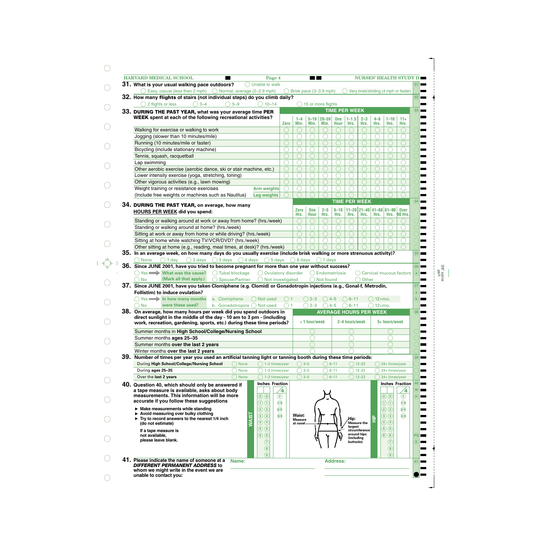| <b>HARVARD MEDICAL SCHOOL</b><br>Page 4<br>31. What is your usual walking pace outdoors?<br>Unable to walk                                     |                 |                          | <b>The Contract State</b> |                               |                           |                      |                      |                   | <b>NURSES' HEALTH STUDY II</b>        |                               |
|------------------------------------------------------------------------------------------------------------------------------------------------|-----------------|--------------------------|---------------------------|-------------------------------|---------------------------|----------------------|----------------------|-------------------|---------------------------------------|-------------------------------|
| Easy, casual (less than 2 mph) $\bigcirc$ Normal, average (2–2.9 mph)                                                                          |                 |                          |                           | Brisk pace (3-3.9 mph)        |                           |                      |                      |                   | Very brisk/striding (4 mph or faster) |                               |
| 32. How many flights of stairs (not individual steps) do you climb daily?                                                                      |                 |                          |                           |                               |                           |                      |                      |                   |                                       |                               |
| $\bigcirc$ 5-9<br>$\bigcirc$ 10–14<br>2 flights or less<br>$3 - 4$                                                                             |                 |                          |                           | 15 or more flights            |                           |                      |                      |                   |                                       |                               |
| 33. DURING THE PAST YEAR, what was your average time PER                                                                                       |                 |                          |                           |                               |                           | <b>TIME PER WEEK</b> |                      |                   |                                       |                               |
| WEEK spent at each of the following recreational activities?                                                                                   |                 |                          |                           |                               |                           |                      |                      |                   |                                       |                               |
|                                                                                                                                                | <b>Zero</b>     | $1 - 4$<br>Min.          | Min.                      | $5 - 19$   20 - 59<br>Min.    | <b>One</b><br><b>Hour</b> | $1 - 1.5$<br>Hrs.    | $2 - 3$<br>Hrs.      | $4 - 6$<br>Hrs.   | $7 - 10$<br>Hrs.                      | $11+$<br>Hrs.                 |
| Walking for exercise or walking to work                                                                                                        |                 | $\bigcirc$               |                           |                               |                           |                      |                      |                   |                                       |                               |
| Jogging (slower than 10 minutes/mile)                                                                                                          |                 | ⌒                        |                           |                               |                           | ∩                    |                      |                   |                                       |                               |
| Running (10 minutes/mile or faster)                                                                                                            |                 | ◯                        |                           |                               |                           |                      |                      |                   |                                       |                               |
| Bicycling (include stationary machine)                                                                                                         |                 | ⌒                        |                           |                               |                           | ∩                    |                      |                   |                                       |                               |
| Tennis, squash, racquetball                                                                                                                    |                 | ◯                        |                           |                               |                           |                      |                      |                   |                                       |                               |
| Lap swimming                                                                                                                                   |                 | ⌒                        |                           |                               |                           |                      |                      |                   |                                       |                               |
| Other aerobic exercise (aerobic dance, ski or stair machine, etc.)                                                                             |                 | ◯                        |                           |                               |                           |                      |                      |                   |                                       |                               |
| Lower intensity exercise (yoga, stretching, toning)                                                                                            |                 | ◯                        |                           |                               |                           | ∩                    |                      |                   |                                       |                               |
| Other vigorous activities (e.g., lawn mowing)                                                                                                  |                 | ◯                        |                           |                               |                           |                      |                      |                   |                                       |                               |
| Weight training or resistance exercises<br><b>Arm weights</b>                                                                                  |                 | ◠                        |                           |                               |                           |                      |                      |                   |                                       |                               |
|                                                                                                                                                |                 |                          |                           |                               |                           |                      |                      |                   |                                       |                               |
| (Include free weights or machines such as Nautilus)<br><b>Leg weights</b>                                                                      |                 |                          |                           |                               |                           |                      | <b>TIME PER WEEK</b> |                   |                                       |                               |
| 34. DURING THE PAST YEAR, on average, how many                                                                                                 |                 |                          |                           |                               |                           |                      |                      |                   |                                       |                               |
| <b>HOURS PER WEEK did you spend:</b>                                                                                                           |                 | <b>Zero</b><br>Hrs.      | <b>One</b><br><b>Hour</b> | $2 - 5$<br>Hrs.               | $6 - 10$<br>Hrs.          |                      |                      |                   | $ 11-20 21-40 41-60 61-90$<br>Hrs.    | <b>Over</b><br><b>90 Hrs.</b> |
| Standing or walking around at work or away from home? (hrs./week)                                                                              |                 | C                        |                           |                               |                           | Hrs.                 | Hrs.                 | Hrs.              |                                       |                               |
| Standing or walking around at home? (hrs./week)                                                                                                |                 | ◯                        |                           |                               |                           | ∩                    |                      |                   |                                       |                               |
| Sitting at work or away from home or while driving? (hrs./week)                                                                                |                 | ⌒                        |                           |                               |                           | ○                    |                      |                   |                                       |                               |
| Sitting at home while watching TV/VCR/DVD? (hrs./week)                                                                                         |                 |                          |                           |                               |                           |                      |                      |                   |                                       |                               |
| Other sitting at home (e.g., reading, meal times, at desk)? (hrs./week)                                                                        |                 |                          |                           |                               |                           |                      |                      |                   |                                       |                               |
|                                                                                                                                                |                 |                          |                           |                               |                           |                      |                      |                   |                                       |                               |
|                                                                                                                                                |                 |                          |                           |                               |                           |                      |                      |                   |                                       |                               |
| 35. In an average week, on how many days do you usually exercise (include brisk walking or more strenuous activity)?                           |                 |                          |                           |                               |                           |                      |                      |                   |                                       |                               |
| $\bigcirc$ 3 days $\bigcirc$ 4 days $\bigcirc$ 5 days<br>$\bigcap$ 1 day<br>$\bigcirc$ 2 days<br>None                                          |                 | $\bigcirc$ 6 days        |                           | $\bigcap$ 7 days              |                           |                      |                      |                   |                                       |                               |
| 36. Since JUNE 2001, have you tried to become pregnant for more than one year without success?                                                 |                 |                          |                           |                               |                           |                      |                      |                   |                                       |                               |
| Yes What was the cause?<br>◯ Tubal blockage<br>◯ Ovulatory disorder                                                                            |                 |                          | $($ )                     | Endometriosis                 |                           |                      |                      |                   | <b>Cervical mucous factors</b>        |                               |
| (Mark all that apply.)<br>Spouse/Partner<br>◯ Not investigated<br><b>No</b>                                                                    |                 |                          |                           | $\bigcap$ Not found           |                           |                      | Other                |                   |                                       |                               |
| 37. Since JUNE 2001, have you taken Clomiphene (e.g. Clomid) or Gonadotropin injections (e.g., Gonal-f, Metrodin,                              |                 |                          |                           |                               |                           |                      |                      |                   |                                       |                               |
| Follistim) to induce ovulation?                                                                                                                |                 |                          |                           |                               |                           |                      |                      |                   |                                       |                               |
| Yes <b>In how many months</b><br>a. Clomiphene<br>◯ Not used                                                                                   |                 |                          | $2 - 3$                   |                               | $4 - 5$                   | $6 - 11$             |                      | $\bigcirc$ 12+mo. |                                       |                               |
| were these used?<br>b. Gonadotropins O Not used<br>No                                                                                          |                 |                          | $2 - 3$                   |                               | $4 - 5$                   | $6 - 11$             |                      | $12+mo.$          |                                       |                               |
| 38. On average, how many hours per week did you spend outdoors in                                                                              |                 |                          |                           | <b>AVERAGE HOURS PER WEEK</b> |                           |                      |                      |                   |                                       |                               |
| direct sunlight in the middle of the day - 10 am to 3 pm - (including<br>work, recreation, gardening, sports, etc.) during these time periods? |                 |                          | <1 hour/week              |                               |                           | 2-4 hours/week       |                      |                   | 5+ hours/week                         |                               |
|                                                                                                                                                |                 |                          |                           |                               |                           |                      |                      |                   |                                       |                               |
| Summer months in High School/College/Nursing School                                                                                            |                 |                          |                           |                               |                           |                      |                      |                   |                                       |                               |
| Summer months ages 25-35                                                                                                                       |                 |                          |                           |                               |                           |                      |                      |                   |                                       |                               |
| Summer months over the last 2 years                                                                                                            |                 |                          |                           |                               |                           |                      |                      |                   |                                       |                               |
| Winter months over the last 2 years                                                                                                            |                 |                          |                           |                               |                           |                      |                      |                   |                                       |                               |
| 39. Number of times per year you used an artificial tanning light or tanning booth during these time periods:                                  |                 |                          |                           |                               |                           |                      |                      |                   |                                       |                               |
| During High School/College/Nursing School<br>None<br>$($ $)$ 1–2 times/year                                                                    |                 | $\bigcirc$ 3–5           |                           | $\bigcirc$ 6-11               |                           |                      | $( ) 12 - 23$        |                   | 24+ times/year                        |                               |
| During ages 25-35<br><b>None</b><br>) 1–2 times/year                                                                                           |                 | $\bigcirc$ 3–5           |                           |                               | $6 - 11$                  |                      | $12 - 23$            |                   | 24+ times/year                        |                               |
| Over the last 2 years<br>) None<br>1-2 times/year                                                                                              |                 | $\bigcirc$ 3-5           |                           |                               | $6 - 11$                  |                      | $12 - 23$            |                   | 24+ times/year                        |                               |
| <b>Inches Fraction</b><br>40. Question 40, which should only be answered if                                                                    |                 |                          |                           |                               |                           |                      |                      |                   | <b>Inches Fraction</b>                |                               |
| a tape measure is available, asks about body                                                                                                   | 4               |                          |                           |                               |                           |                      |                      |                   |                                       | 4                             |
| measurements. This information will be more<br>$\textcircled{\scriptsize{0}}$                                                                  | $\circledcirc$  |                          |                           |                               |                           |                      |                      |                   | $\odot$ $\odot$                       | $\circledcirc$                |
| accurate if you follow these suggestions<br>$\bigcirc$ $\bigcirc$                                                                              | $\overline{14}$ |                          |                           |                               |                           |                      |                      |                   | $\bigcirc$                            | $\overline{v}$                |
| $\blacktriangleright$ Make measurements while standing<br>$\odot$ $\odot$<br>Avoid measuring over bulky clothing                               | $\widehat{2/4}$ |                          |                           |                               |                           |                      |                      |                   | $\odot$ $\odot$                       | $\bigcirc$                    |
| $\bigcirc$ $\bigcirc$<br>$\triangleright$ Try to record answers to the nearest 1/4 inch                                                        | $\widehat{3/4}$ | Waist:<br><b>Measure</b> |                           |                               |                           | Hip:                 |                      |                   | $\circled{3}$                         | $\widehat{3/4}$               |
| <b>NAIS</b><br>444<br>(do not estimate)                                                                                                        |                 | at navel                 |                           |                               |                           | largest              | Measure the          | $\triangleq$      | $\bigcirc$ $\bigcirc$                 |                               |
| $\bigcirc$ (5)<br>If a tape measure is                                                                                                         |                 |                          |                           |                               |                           |                      | circumference        |                   | $\circledS$ $\circledS$               |                               |
| $\circledcirc$<br>not available,                                                                                                               |                 |                          |                           |                               |                           | (including           | around hips          |                   | $\circledcirc$                        |                               |
| please leave blank.<br>$\odot$                                                                                                                 |                 |                          |                           |                               |                           | buttocks)            |                      |                   | ⊙                                     |                               |
| $\circledast$                                                                                                                                  |                 |                          |                           |                               |                           |                      |                      |                   | $\circledast$                         |                               |
| $\circledcirc$<br>41. Please indicate the name of someone at a<br>Name:                                                                        |                 |                          |                           |                               | <b>Address:</b>           |                      |                      |                   | 9                                     |                               |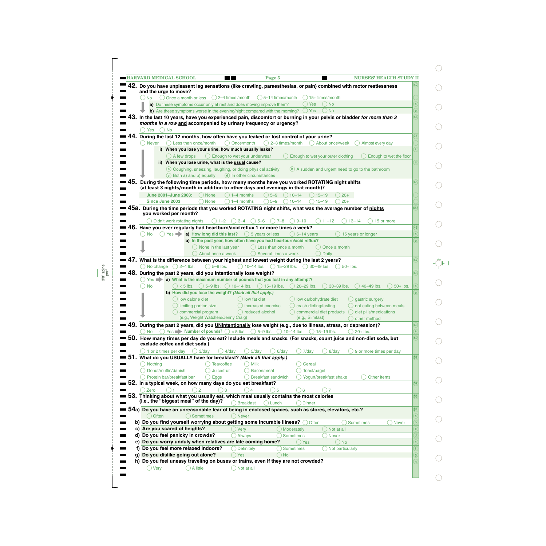| <b>EXPLORED MEDICAL SCHOOL</b><br>Page 5<br><b>NURSES' HEALTH STUDY II</b><br>$\blacksquare$ 1                                                                              |     |
|-----------------------------------------------------------------------------------------------------------------------------------------------------------------------------|-----|
| 42. Do you have unpleasant leg sensations (like crawling, paraesthesias, or pain) combined with motor restlessness<br>and the urge to move?                                 |     |
| $\bigcirc$ 5-14 times/month<br>$()$ No<br>$\bigcirc$ Once a month or less<br>$( ) 2-4$ times /month<br>$( ) 15+ times/month$                                                |     |
| $\bigcirc$ Yes<br>$()$ No<br>a) Do these symptoms occur only at rest and does moving improve them?                                                                          |     |
| b) Are these symptoms worse in the evening/night compared with the morning?<br>◯ Yes<br>( ) No                                                                              |     |
| 43. In the last 10 years, have you experienced pain, discomfort or burning in your pelvis or bladder for more than 3                                                        | 43  |
| months in a row and accompanied by urinary frequency or urgency?                                                                                                            |     |
| $\bigcirc$ No<br>Yes                                                                                                                                                        |     |
| 44. During the last 12 months, how often have you leaked or lost control of your urine?                                                                                     |     |
| $\bigcirc$ Once/month<br>$\bigcirc$ Less than once/month<br>$\bigcirc$ 2–3 times/month<br><b>Never</b><br>() About once/week<br>Almost every day                            |     |
| i) When you lose your urine, how much usually leaks?                                                                                                                        |     |
| () A few drops<br>$\bigcirc$ Enough to wet your underwear<br>Enough to wet your outer clothing<br>Enough to wet the floor                                                   |     |
| ii) When you lose urine, what is the usual cause?                                                                                                                           |     |
| a Coughing, sneezing, laughing, or doing physical activity<br>(b) A sudden and urgent need to go to the bathroom                                                            |     |
| c Both a) and b) equally<br>(d) In other circumstances<br>45.                                                                                                               |     |
| During the following time periods, how many months have you worked ROTATING night shifts<br>(at least 3 nights/month in addition to other days and evenings in that month)? |     |
| $() 5 - 9$<br>June 2001-June 2003:<br>$()$ None<br>$( ) 1-4$ months<br>$() 10 - 14$<br>$() 15 - 19$<br>$( ) 20+$                                                            |     |
| $\bigcirc$ 5-9<br>$\bigcirc$ 20+<br>Since June 2003<br>$\bigcap$ 1–4 months<br>$\bigcirc$ 10-14<br>$\bigcirc$ 15-19<br>( ) None                                             |     |
| 45a. During the time periods that you worked ROTATING night shifts, what was the average number of nights                                                                   | l5a |
| you worked per month?                                                                                                                                                       |     |
| Didn't work rotating nights<br>$9 - 10$<br>$() 1 - 2$<br>$() 3-4$<br>$()$ 5–6<br>$()7-8$<br>$() 11 - 12$<br>$13 - 14$<br>15 or more                                         |     |
| 46. Have you ever regularly had heartburn/acid reflux 1 or more times a week?                                                                                               | 46  |
| $\circ$ Yes $\bullet$ a) How long did this last? $\circ$ 5 years or less<br>( ) No<br>$() 6-14 \text{ years}$<br>$\big)$ 15 years or longer                                 |     |
| b) In the past year, how often have you had heartburn/acid reflux?                                                                                                          |     |
| O None in the last year<br>$( )$ Less than once a month<br>Once a month<br>$\bigcirc$ Several times a week<br><b>Daily</b>                                                  |     |
| About once a week<br>47. What is the difference between your highest and lowest weight during the last 2 years?                                                             | 47  |
| $\bigcirc$ 10-14 lbs. $\bigcirc$ 15-29 lbs. $\bigcirc$ 30-49 lbs.<br>$\bigcirc$ No change $\bigcirc$ 2–4 lbs.<br>$\bigcirc$ 5-9 lbs.<br>$( ) 50 +$ lbs.                     |     |
| 48. During the past 2 years, did you intentionally lose weight?                                                                                                             | 48  |
| Yes <b>a)</b> What is the maximum number of pounds that you lost in any attempt?                                                                                            |     |
| $\circ$ < 5 lbs. $\circ$ 5-9 lbs. $\circ$ 10-14 lbs. $\circ$ 15-19 lbs. $\circ$ 20-29 lbs.<br>$\bigcirc$ No<br>$( ) 30 - 39$ lbs.<br>$( ) 40 - 49$ lbs.<br>$50+$ lbs.       |     |
| b) How did you lose the weight? (Mark all that apply.)                                                                                                                      |     |
| () low calorie diet<br>$\bigcap$ low fat diet<br>() low carbohydrate diet<br>() gastric surgery                                                                             |     |
| $\bigcirc$ limiting portion size $\bigcirc$ increased exercise $\bigcirc$ crash dieting/fasting<br>$\bigcirc$ not eating between meals                                      |     |
| commercial program<br>$\bigcirc$ reduced alcohol<br>$\bigcirc$ commercial diet products<br>$\bigcirc$ diet pills/medications                                                |     |
| (e.g., Weight Watchers/Jenny Craig)<br>(e.g., Slimfast)<br>$\bigcirc$ other method                                                                                          |     |
| 49.<br>During the past 2 years, did you UNintentionally lose weight (e.g., due to illness, stress, or depression)?                                                          | 49  |
| $\bigcirc$ Yes $\blacktriangleright$ Number of pounds? $\bigcirc$ < 5 lbs. $\bigcirc$ 5-9 lbs. $\bigcirc$ 10-14 lbs. $\bigcirc$ 15-19 lbs.<br><b>No</b><br>$20+$ lbs.       | 50  |
| 50. How many times per day do you eat? Include meals and snacks. (For snacks, count juice and non-diet soda, but<br>exclude coffee and diet soda.)                          |     |
| $\bigcirc$ 1 or 2 times per day<br>$\bigcirc$ 4/day<br>$5$ /day<br>$6$ /day<br>9 or more times per day<br>( ) 3/day<br>7/day<br>$8$ /day                                    |     |
| 51. What do you USUALLY have for breakfast? (Mark all that apply.)                                                                                                          |     |
| $\bigcirc$ Tea/coffee<br>Nothing<br><b>Milk</b><br>Cereal<br>(                                                                                                              |     |
| Donut/muffin/danish<br>Juice/fruit<br>Bacon/meat<br>Toast/bagel                                                                                                             |     |
| Eggs<br>Protein bar/breakfast bar<br><b>Breakfast sandwich</b><br>Yogurt/breakfast shake<br>$($ )<br>Other items                                                            |     |
| 52. In a typical week, on how many days do you eat breakfast?                                                                                                               | 52  |
| $\bigcirc$ 2<br>$\bigcirc$ 3<br>◯ Zero<br>( ) 5<br>( ) 4<br>6                                                                                                               |     |
| 53. Thinking about what you usually eat, which meal usually contains the most calories                                                                                      | 53  |
| (i.e., the "biggest meal" of the day)?<br>◯ Breakfast<br>$\bigcap$ Lunch<br>$\left( \begin{array}{c} 1 \end{array} \right)$<br><b>Dinner</b>                                |     |
|                                                                                                                                                                             | 54  |
| 54a) Do you have an unreasonable fear of being in enclosed spaces, such as stores, elevators, etc.?                                                                         | a   |
| $\bigcirc$ Often<br>Sometimes<br>O Never                                                                                                                                    |     |
| b) Do you find yourself worrying about getting some incurable illness?<br>Often<br>Sometimes<br><b>Never</b>                                                                |     |
| c) Are you scared of heights?<br>Very<br><b>Moderately</b><br>$\bigcirc$ Not at all                                                                                         |     |
| d) Do you feel panicky in crowds?<br>Always<br>Sometimes<br>O Never                                                                                                         | ď   |
| e) Do you worry unduly when relatives are late coming home?<br>$\bigcirc$ No<br>Yes                                                                                         | ė   |
| f) Do you feel more relaxed indoors?<br>Definitely<br>Sometimes<br>$\bigcirc$ Not particularly                                                                              |     |
| g) Do you dislike going out alone?<br>$\bigcirc$ No<br>Yes<br>h) Do you feel uneasy traveling on buses or trains, even if they are not crowded?                             |     |